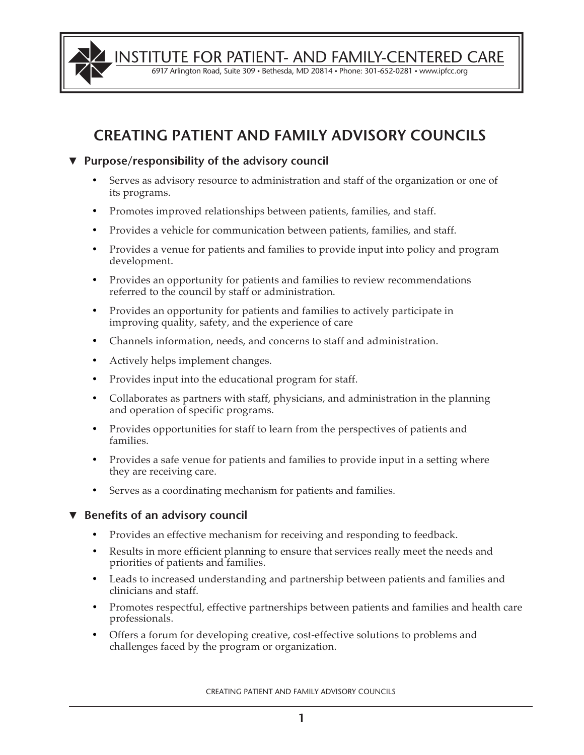

INSTITUTE FOR PATIENT- AND FAMILY-CENTERED CARE

6917 Arlington Road, Suite 309 • Bethesda, MD 20814 • Phone: 301-652-0281 • www.ipfcc.org

# CREATING PATIENT AND FAMILY ADVISORY COUNCILS

## ▼ **Purpose/responsibility of the advisory council**

- Serves as advisory resource to administration and staff of the organization or one of its programs.
- Promotes improved relationships between patients, families, and staff.
- Provides a vehicle for communication between patients, families, and staff.
- Provides a venue for patients and families to provide input into policy and program development.
- Provides an opportunity for patients and families to review recommendations referred to the council by staff or administration.
- Provides an opportunity for patients and families to actively participate in improving quality, safety, and the experience of care
- Channels information, needs, and concerns to staff and administration.
- Actively helps implement changes.
- Provides input into the educational program for staff.
- Collaborates as partners with staff, physicians, and administration in the planning and operation of specific programs.
- Provides opportunities for staff to learn from the perspectives of patients and families.
- Provides a safe venue for patients and families to provide input in a setting where they are receiving care.
- Serves as a coordinating mechanism for patients and families.

# ▼ **Benefits of an advisory council**

- Provides an effective mechanism for receiving and responding to feedback.
- Results in more efficient planning to ensure that services really meet the needs and priorities of patients and families.
- Leads to increased understanding and partnership between patients and families and clinicians and staff.
- Promotes respectful, effective partnerships between patients and families and health care professionals.
- Offers a forum for developing creative, cost-effective solutions to problems and challenges faced by the program or organization.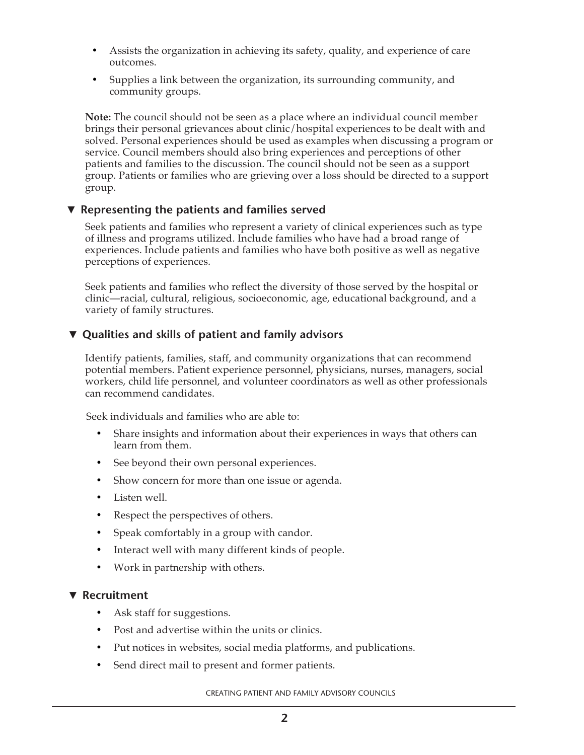- Assists the organization in achieving its safety, quality, and experience of care outcomes.
- Supplies a link between the organization, its surrounding community, and community groups.

**Note:** The council should not be seen as a place where an individual council member brings their personal grievances about clinic/hospital experiences to be dealt with and solved. Personal experiences should be used as examples when discussing a program or service. Council members should also bring experiences and perceptions of other patients and families to the discussion. The council should not be seen as a support group. Patients or families who are grieving over a loss should be directed to a support group.

#### ▼ **Representing the patients and families served**

Seek patients and families who represent a variety of clinical experiences such as type of illness and programs utilized. Include families who have had a broad range of experiences. Include patients and families who have both positive as well as negative perceptions of experiences.

Seek patients and families who reflect the diversity of those served by the hospital or clinic—racial, cultural, religious, socioeconomic, age, educational background, and a variety of family structures.

## ▼ **Qualities and skills of patient and family advisors**

Identify patients, families, staff, and community organizations that can recommend potential members. Patient experience personnel, physicians, nurses, managers, social workers, child life personnel, and volunteer coordinators as well as other professionals can recommend candidates.

Seek individuals and families who are able to:

- Share insights and information about their experiences in ways that others can learn from them.
- See beyond their own personal experiences.
- Show concern for more than one issue or agenda.
- Listen well.
- Respect the perspectives of others.
- Speak comfortably in a group with candor.
- Interact well with many different kinds of people.
- Work in partnership with others.

#### ▼ **Recruitment**

- Ask staff for suggestions.
- Post and advertise within the units or clinics.
- Put notices in websites, social media platforms, and publications.
- Send direct mail to present and former patients.

CREATING PATIENT AND FAMILY ADVISORY COUNCILS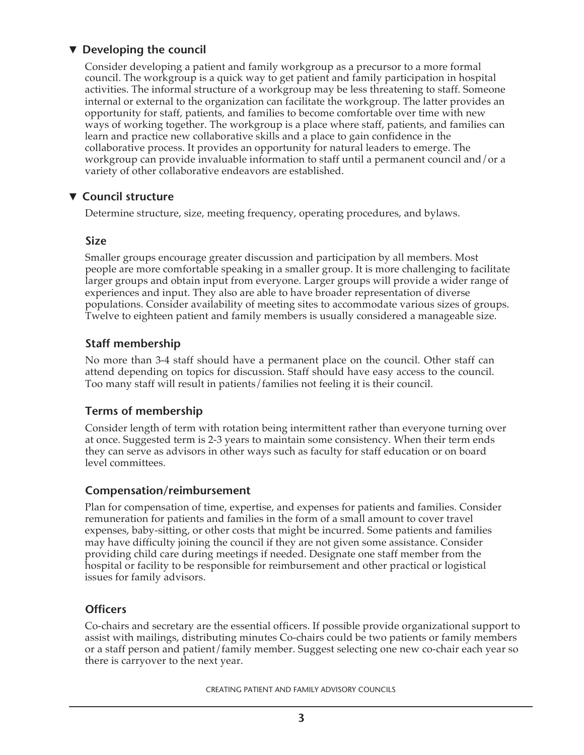# ▼ **Developing the council**

Consider developing a patient and family workgroup as a precursor to a more formal council. The workgroup is a quick way to get patient and family participation in hospital activities. The informal structure of a workgroup may be less threatening to staff. Someone internal or external to the organization can facilitate the workgroup. The latter provides an opportunity for staff, patients, and families to become comfortable over time with new ways of working together. The workgroup is a place where staff, patients, and families can learn and practice new collaborative skills and a place to gain confidence in the collaborative process. It provides an opportunity for natural leaders to emerge. The workgroup can provide invaluable information to staff until a permanent council and/or a variety of other collaborative endeavors are established.

# ▼ **Council structure**

Determine structure, size, meeting frequency, operating procedures, and bylaws.

#### **Size**

Smaller groups encourage greater discussion and participation by all members. Most people are more comfortable speaking in a smaller group. It is more challenging to facilitate larger groups and obtain input from everyone. Larger groups will provide a wider range of experiences and input. They also are able to have broader representation of diverse populations. Consider availability of meeting sites to accommodate various sizes of groups. Twelve to eighteen patient and family members is usually considered a manageable size.

# **Staff membership**

No more than 3-4 staff should have a permanent place on the council. Other staff can attend depending on topics for discussion. Staff should have easy access to the council. Too many staff will result in patients/families not feeling it is their council.

# **Terms of membership**

Consider length of term with rotation being intermittent rather than everyone turning over at once. Suggested term is 2-3 years to maintain some consistency. When their term ends they can serve as advisors in other ways such as faculty for staff education or on board level committees.

## **Compensation/reimbursement**

Plan for compensation of time, expertise, and expenses for patients and families. Consider remuneration for patients and families in the form of a small amount to cover travel expenses, baby-sitting, or other costs that might be incurred. Some patients and families may have difficulty joining the council if they are not given some assistance. Consider providing child care during meetings if needed. Designate one staff member from the hospital or facility to be responsible for reimbursement and other practical or logistical issues for family advisors.

## **Officers**

Co-chairs and secretary are the essential officers. If possible provide organizational support to assist with mailings, distributing minutes Co-chairs could be two patients or family members or a staff person and patient/family member. Suggest selecting one new co-chair each year so there is carryover to the next year.

CREATING PATIENT AND FAMILY ADVISORY COUNCILS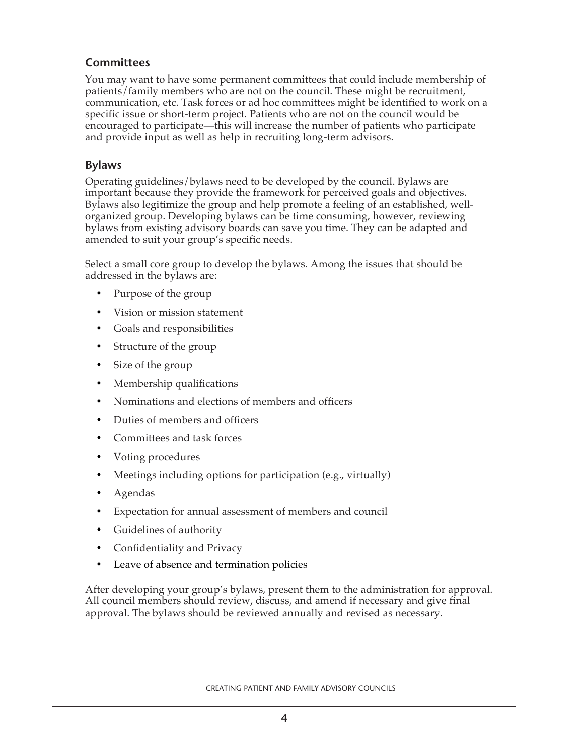#### **Committees**

You may want to have some permanent committees that could include membership of patients/family members who are not on the council. These might be recruitment, communication, etc. Task forces or ad hoc committees might be identified to work on a specific issue or short-term project. Patients who are not on the council would be encouraged to participate—this will increase the number of patients who participate and provide input as well as help in recruiting long-term advisors.

#### **Bylaws**

Operating guidelines/bylaws need to be developed by the council. Bylaws are important because they provide the framework for perceived goals and objectives. Bylaws also legitimize the group and help promote a feeling of an established, wellorganized group. Developing bylaws can be time consuming, however, reviewing bylaws from existing advisory boards can save you time. They can be adapted and amended to suit your group's specific needs.

Select a small core group to develop the bylaws. Among the issues that should be addressed in the bylaws are:

- Purpose of the group
- Vision or mission statement
- Goals and responsibilities
- Structure of the group
- Size of the group
- Membership qualifications
- Nominations and elections of members and officers
- Duties of members and officers
- Committees and task forces
- Voting procedures
- Meetings including options for participation (e.g., virtually)
- Agendas
- Expectation for annual assessment of members and council
- Guidelines of authority
- Confidentiality and Privacy
- Leave of absence and termination policies

After developing your group's bylaws, present them to the administration for approval. All council members should review, discuss, and amend if necessary and give final approval. The bylaws should be reviewed annually and revised as necessary.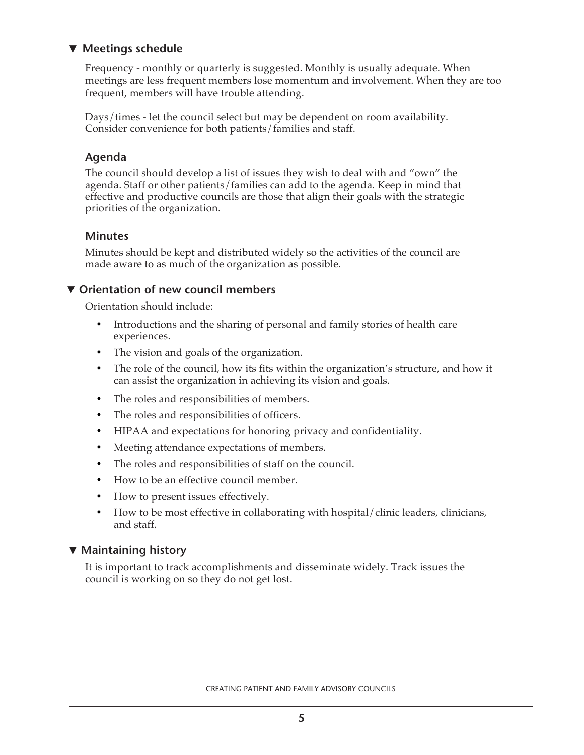# ▼ **Meetings schedule**

Frequency - monthly or quarterly is suggested. Monthly is usually adequate. When meetings are less frequent members lose momentum and involvement. When they are too frequent, members will have trouble attending.

Days/times - let the council select but may be dependent on room availability. Consider convenience for both patients/families and staff.

#### **Agenda**

The council should develop a list of issues they wish to deal with and "own" the agenda. Staff or other patients/families can add to the agenda. Keep in mind that effective and productive councils are those that align their goals with the strategic priorities of the organization.

#### **Minutes**

Minutes should be kept and distributed widely so the activities of the council are made aware to as much of the organization as possible.

# ▼ **Orientation of new council members**

Orientation should include:

- Introductions and the sharing of personal and family stories of health care experiences.
- The vision and goals of the organization.
- The role of the council, how its fits within the organization's structure, and how it can assist the organization in achieving its vision and goals.
- The roles and responsibilities of members.
- The roles and responsibilities of officers.
- HIPAA and expectations for honoring privacy and confidentiality.
- Meeting attendance expectations of members.
- The roles and responsibilities of staff on the council.
- How to be an effective council member.
- How to present issues effectively.
- How to be most effective in collaborating with hospital/clinic leaders, clinicians, and staff.

## ▼ **Maintaining history**

It is important to track accomplishments and disseminate widely. Track issues the council is working on so they do not get lost.